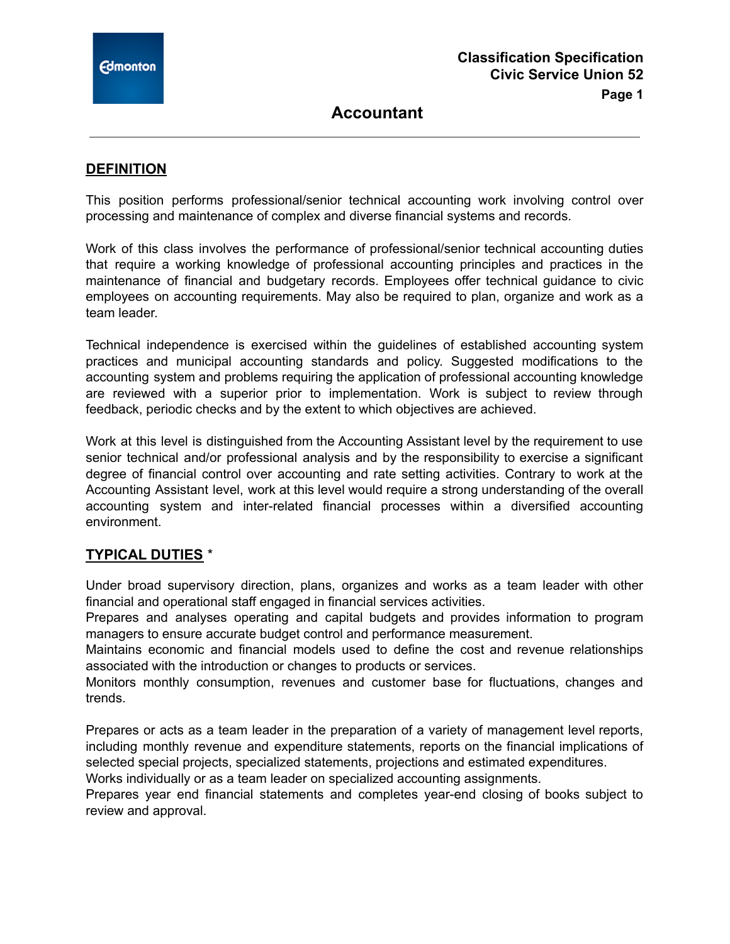**Accountant**

#### **DEFINITION**

This position performs professional/senior technical accounting work involving control over processing and maintenance of complex and diverse financial systems and records.

Work of this class involves the performance of professional/senior technical accounting duties that require a working knowledge of professional accounting principles and practices in the maintenance of financial and budgetary records. Employees offer technical guidance to civic employees on accounting requirements. May also be required to plan, organize and work as a team leader.

Technical independence is exercised within the guidelines of established accounting system practices and municipal accounting standards and policy. Suggested modifications to the accounting system and problems requiring the application of professional accounting knowledge are reviewed with a superior prior to implementation. Work is subject to review through feedback, periodic checks and by the extent to which objectives are achieved.

Work at this level is distinguished from the Accounting Assistant level by the requirement to use senior technical and/or professional analysis and by the responsibility to exercise a significant degree of financial control over accounting and rate setting activities. Contrary to work at the Accounting Assistant level, work at this level would require a strong understanding of the overall accounting system and inter-related financial processes within a diversified accounting environment.

### **TYPICAL DUTIES** \*

Under broad supervisory direction, plans, organizes and works as a team leader with other financial and operational staff engaged in financial services activities.

Prepares and analyses operating and capital budgets and provides information to program managers to ensure accurate budget control and performance measurement.

Maintains economic and financial models used to define the cost and revenue relationships associated with the introduction or changes to products or services.

Monitors monthly consumption, revenues and customer base for fluctuations, changes and trends.

Prepares or acts as a team leader in the preparation of a variety of management level reports, including monthly revenue and expenditure statements, reports on the financial implications of selected special projects, specialized statements, projections and estimated expenditures.

Works individually or as a team leader on specialized accounting assignments.

Prepares year end financial statements and completes year-end closing of books subject to review and approval.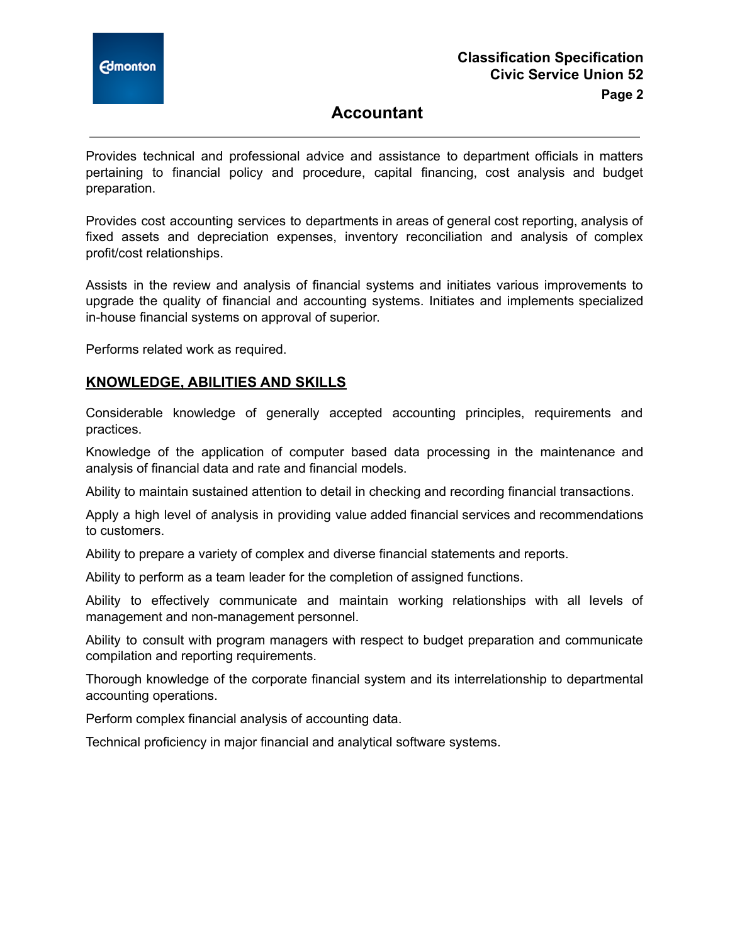

# **Accountant**

Provides technical and professional advice and assistance to department officials in matters pertaining to financial policy and procedure, capital financing, cost analysis and budget preparation.

Provides cost accounting services to departments in areas of general cost reporting, analysis of fixed assets and depreciation expenses, inventory reconciliation and analysis of complex profit/cost relationships.

Assists in the review and analysis of financial systems and initiates various improvements to upgrade the quality of financial and accounting systems. Initiates and implements specialized in-house financial systems on approval of superior.

Performs related work as required.

### **KNOWLEDGE, ABILITIES AND SKILLS**

Considerable knowledge of generally accepted accounting principles, requirements and practices.

Knowledge of the application of computer based data processing in the maintenance and analysis of financial data and rate and financial models.

Ability to maintain sustained attention to detail in checking and recording financial transactions.

Apply a high level of analysis in providing value added financial services and recommendations to customers.

Ability to prepare a variety of complex and diverse financial statements and reports.

Ability to perform as a team leader for the completion of assigned functions.

Ability to effectively communicate and maintain working relationships with all levels of management and non-management personnel.

Ability to consult with program managers with respect to budget preparation and communicate compilation and reporting requirements.

Thorough knowledge of the corporate financial system and its interrelationship to departmental accounting operations.

Perform complex financial analysis of accounting data.

Technical proficiency in major financial and analytical software systems.